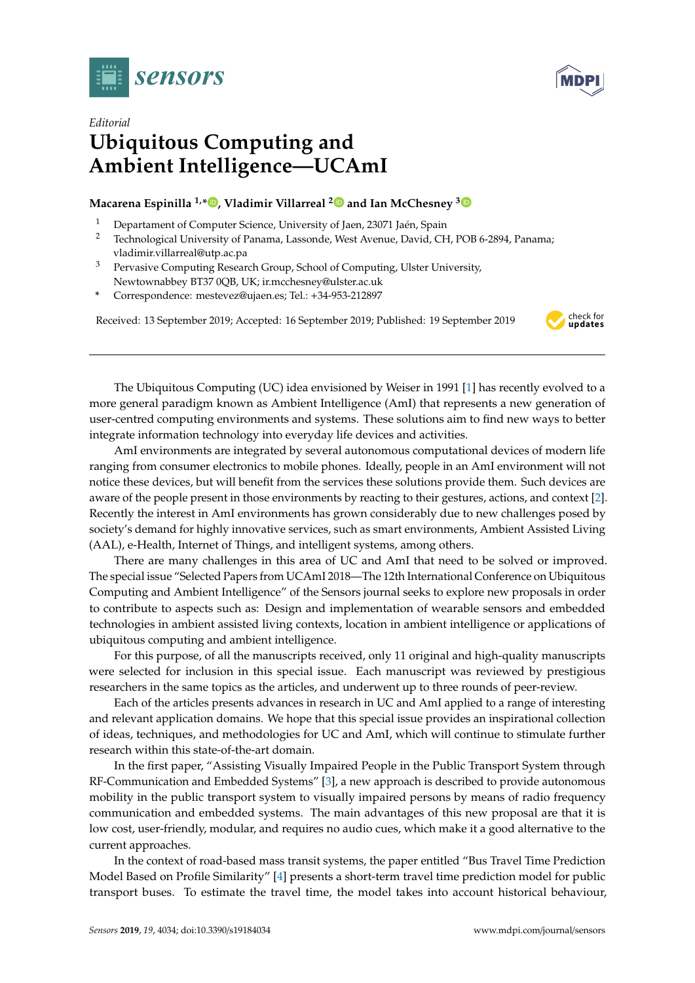

*Editorial*



## **Ubiquitous Computing and Ambient Intelligence—UCAmI**

## **Macarena Espinilla 1,\* [,](https://orcid.org/0000-0003-1118-7782) Vladimir Villarreal [2](https://orcid.org/0000-0003-4678-5977) and Ian McChesney [3](https://orcid.org/0000-0002-5202-5360)**

- <sup>1</sup> Departament of Computer Science, University of Jaen, 23071 Jaén, Spain<br><sup>2</sup> Technological University of Panama J assende West Avenue David Ch
- <sup>2</sup> Technological University of Panama, Lassonde, West Avenue, David, CH, POB 6-2894, Panama; vladimir.villarreal@utp.ac.pa
- <sup>3</sup> Pervasive Computing Research Group, School of Computing, Ulster University, Newtownabbey BT37 0QB, UK; ir.mcchesney@ulster.ac.uk
- **\*** Correspondence: mestevez@ujaen.es; Tel.: +34-953-212897

Received: 13 September 2019; Accepted: 16 September 2019; Published: 19 September 2019



The Ubiquitous Computing (UC) idea envisioned by Weiser in 1991 [\[1\]](#page-2-0) has recently evolved to a more general paradigm known as Ambient Intelligence (AmI) that represents a new generation of user-centred computing environments and systems. These solutions aim to find new ways to better integrate information technology into everyday life devices and activities.

AmI environments are integrated by several autonomous computational devices of modern life ranging from consumer electronics to mobile phones. Ideally, people in an AmI environment will not notice these devices, but will benefit from the services these solutions provide them. Such devices are aware of the people present in those environments by reacting to their gestures, actions, and context [\[2\]](#page-2-1). Recently the interest in AmI environments has grown considerably due to new challenges posed by society's demand for highly innovative services, such as smart environments, Ambient Assisted Living (AAL), e-Health, Internet of Things, and intelligent systems, among others.

There are many challenges in this area of UC and AmI that need to be solved or improved. The special issue "Selected Papers from UCAmI 2018—The 12th International Conference on Ubiquitous Computing and Ambient Intelligence" of the Sensors journal seeks to explore new proposals in order to contribute to aspects such as: Design and implementation of wearable sensors and embedded technologies in ambient assisted living contexts, location in ambient intelligence or applications of ubiquitous computing and ambient intelligence.

For this purpose, of all the manuscripts received, only 11 original and high-quality manuscripts were selected for inclusion in this special issue. Each manuscript was reviewed by prestigious researchers in the same topics as the articles, and underwent up to three rounds of peer-review.

Each of the articles presents advances in research in UC and AmI applied to a range of interesting and relevant application domains. We hope that this special issue provides an inspirational collection of ideas, techniques, and methodologies for UC and AmI, which will continue to stimulate further research within this state-of-the-art domain.

In the first paper, "Assisting Visually Impaired People in the Public Transport System through RF-Communication and Embedded Systems" [\[3\]](#page-2-2), a new approach is described to provide autonomous mobility in the public transport system to visually impaired persons by means of radio frequency communication and embedded systems. The main advantages of this new proposal are that it is low cost, user-friendly, modular, and requires no audio cues, which make it a good alternative to the current approaches.

In the context of road-based mass transit systems, the paper entitled "Bus Travel Time Prediction Model Based on Profile Similarity" [\[4\]](#page-2-3) presents a short-term travel time prediction model for public transport buses. To estimate the travel time, the model takes into account historical behaviour,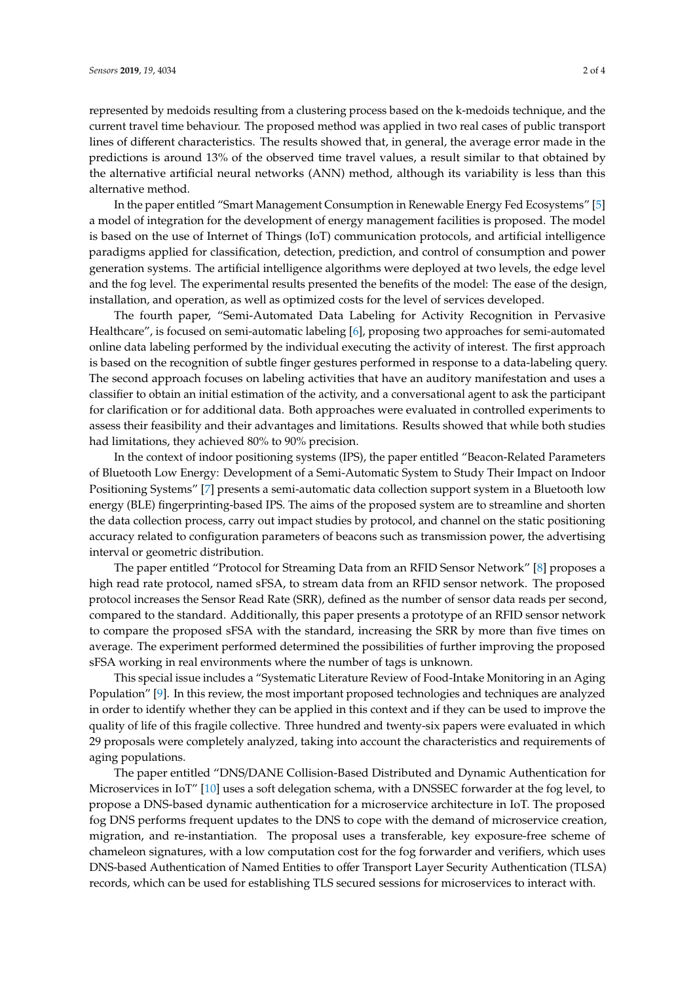represented by medoids resulting from a clustering process based on the k-medoids technique, and the current travel time behaviour. The proposed method was applied in two real cases of public transport lines of different characteristics. The results showed that, in general, the average error made in the predictions is around 13% of the observed time travel values, a result similar to that obtained by the alternative artificial neural networks (ANN) method, although its variability is less than this alternative method.

In the paper entitled "Smart Management Consumption in Renewable Energy Fed Ecosystems" [\[5\]](#page-2-4) a model of integration for the development of energy management facilities is proposed. The model is based on the use of Internet of Things (IoT) communication protocols, and artificial intelligence paradigms applied for classification, detection, prediction, and control of consumption and power generation systems. The artificial intelligence algorithms were deployed at two levels, the edge level and the fog level. The experimental results presented the benefits of the model: The ease of the design, installation, and operation, as well as optimized costs for the level of services developed.

The fourth paper, "Semi-Automated Data Labeling for Activity Recognition in Pervasive Healthcare", is focused on semi-automatic labeling [\[6\]](#page-3-0), proposing two approaches for semi-automated online data labeling performed by the individual executing the activity of interest. The first approach is based on the recognition of subtle finger gestures performed in response to a data-labeling query. The second approach focuses on labeling activities that have an auditory manifestation and uses a classifier to obtain an initial estimation of the activity, and a conversational agent to ask the participant for clarification or for additional data. Both approaches were evaluated in controlled experiments to assess their feasibility and their advantages and limitations. Results showed that while both studies had limitations, they achieved 80% to 90% precision.

In the context of indoor positioning systems (IPS), the paper entitled "Beacon-Related Parameters of Bluetooth Low Energy: Development of a Semi-Automatic System to Study Their Impact on Indoor Positioning Systems" [\[7\]](#page-3-1) presents a semi-automatic data collection support system in a Bluetooth low energy (BLE) fingerprinting-based IPS. The aims of the proposed system are to streamline and shorten the data collection process, carry out impact studies by protocol, and channel on the static positioning accuracy related to configuration parameters of beacons such as transmission power, the advertising interval or geometric distribution.

The paper entitled "Protocol for Streaming Data from an RFID Sensor Network" [\[8\]](#page-3-2) proposes a high read rate protocol, named sFSA, to stream data from an RFID sensor network. The proposed protocol increases the Sensor Read Rate (SRR), defined as the number of sensor data reads per second, compared to the standard. Additionally, this paper presents a prototype of an RFID sensor network to compare the proposed sFSA with the standard, increasing the SRR by more than five times on average. The experiment performed determined the possibilities of further improving the proposed sFSA working in real environments where the number of tags is unknown.

This special issue includes a "Systematic Literature Review of Food-Intake Monitoring in an Aging Population" [\[9\]](#page-3-3). In this review, the most important proposed technologies and techniques are analyzed in order to identify whether they can be applied in this context and if they can be used to improve the quality of life of this fragile collective. Three hundred and twenty-six papers were evaluated in which 29 proposals were completely analyzed, taking into account the characteristics and requirements of aging populations.

The paper entitled "DNS/DANE Collision-Based Distributed and Dynamic Authentication for Microservices in IoT" [\[10\]](#page-3-4) uses a soft delegation schema, with a DNSSEC forwarder at the fog level, to propose a DNS-based dynamic authentication for a microservice architecture in IoT. The proposed fog DNS performs frequent updates to the DNS to cope with the demand of microservice creation, migration, and re-instantiation. The proposal uses a transferable, key exposure-free scheme of chameleon signatures, with a low computation cost for the fog forwarder and verifiers, which uses DNS-based Authentication of Named Entities to offer Transport Layer Security Authentication (TLSA) records, which can be used for establishing TLS secured sessions for microservices to interact with.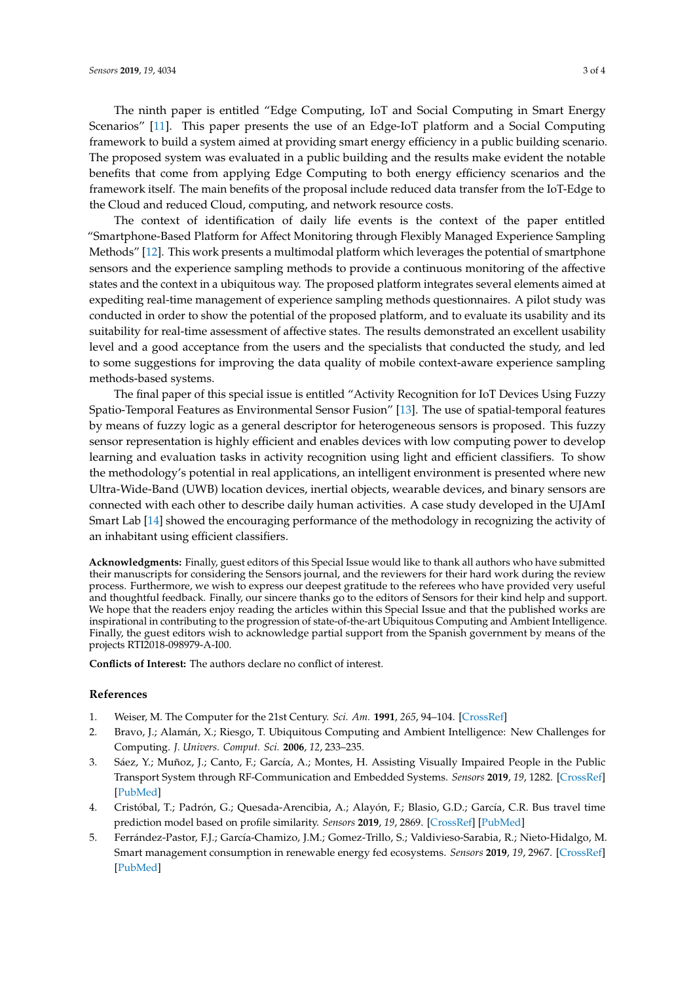The ninth paper is entitled "Edge Computing, IoT and Social Computing in Smart Energy Scenarios" [\[11\]](#page-3-5). This paper presents the use of an Edge-IoT platform and a Social Computing framework to build a system aimed at providing smart energy efficiency in a public building scenario. The proposed system was evaluated in a public building and the results make evident the notable benefits that come from applying Edge Computing to both energy efficiency scenarios and the framework itself. The main benefits of the proposal include reduced data transfer from the IoT-Edge to the Cloud and reduced Cloud, computing, and network resource costs.

The context of identification of daily life events is the context of the paper entitled "Smartphone-Based Platform for Affect Monitoring through Flexibly Managed Experience Sampling Methods" [\[12\]](#page-3-6). This work presents a multimodal platform which leverages the potential of smartphone sensors and the experience sampling methods to provide a continuous monitoring of the affective states and the context in a ubiquitous way. The proposed platform integrates several elements aimed at expediting real-time management of experience sampling methods questionnaires. A pilot study was conducted in order to show the potential of the proposed platform, and to evaluate its usability and its suitability for real-time assessment of affective states. The results demonstrated an excellent usability level and a good acceptance from the users and the specialists that conducted the study, and led to some suggestions for improving the data quality of mobile context-aware experience sampling methods-based systems.

The final paper of this special issue is entitled "Activity Recognition for IoT Devices Using Fuzzy Spatio-Temporal Features as Environmental Sensor Fusion" [\[13\]](#page-3-7). The use of spatial-temporal features by means of fuzzy logic as a general descriptor for heterogeneous sensors is proposed. This fuzzy sensor representation is highly efficient and enables devices with low computing power to develop learning and evaluation tasks in activity recognition using light and efficient classifiers. To show the methodology's potential in real applications, an intelligent environment is presented where new Ultra-Wide-Band (UWB) location devices, inertial objects, wearable devices, and binary sensors are connected with each other to describe daily human activities. A case study developed in the UJAmI Smart Lab [\[14\]](#page-3-8) showed the encouraging performance of the methodology in recognizing the activity of an inhabitant using efficient classifiers.

**Acknowledgments:** Finally, guest editors of this Special Issue would like to thank all authors who have submitted their manuscripts for considering the Sensors journal, and the reviewers for their hard work during the review process. Furthermore, we wish to express our deepest gratitude to the referees who have provided very useful and thoughtful feedback. Finally, our sincere thanks go to the editors of Sensors for their kind help and support. We hope that the readers enjoy reading the articles within this Special Issue and that the published works are inspirational in contributing to the progression of state-of-the-art Ubiquitous Computing and Ambient Intelligence. Finally, the guest editors wish to acknowledge partial support from the Spanish government by means of the projects RTI2018-098979-A-I00.

**Conflicts of Interest:** The authors declare no conflict of interest.

## **References**

- <span id="page-2-1"></span><span id="page-2-0"></span>1. Weiser, M. The Computer for the 21st Century. *Sci. Am.* **1991**, *265*, 94–104. [\[CrossRef\]](http://dx.doi.org/10.1038/scientificamerican0991-94)
- 2. Bravo, J.; Alamán, X.; Riesgo, T. Ubiquitous Computing and Ambient Intelligence: New Challenges for Computing. *J. Univers. Comput. Sci.* **2006**, *12*, 233–235.
- <span id="page-2-2"></span>3. Sáez, Y.; Muñoz, J.; Canto, F.; García, A.; Montes, H. Assisting Visually Impaired People in the Public Transport System through RF-Communication and Embedded Systems. *Sensors* **2019**, *19*, 1282. [\[CrossRef\]](http://dx.doi.org/10.3390/s19061282) [\[PubMed\]](http://www.ncbi.nlm.nih.gov/pubmed/30875720)
- <span id="page-2-3"></span>4. Cristóbal, T.; Padrón, G.; Quesada-Arencibia, A.; Alayón, F.; Blasio, G.D.; García, C.R. Bus travel time prediction model based on profile similarity. *Sensors* **2019**, *19*, 2869. [\[CrossRef\]](http://dx.doi.org/10.3390/s19132869) [\[PubMed\]](http://www.ncbi.nlm.nih.gov/pubmed/31261640)
- <span id="page-2-4"></span>5. Ferrández-Pastor, F.J.; García-Chamizo, J.M.; Gomez-Trillo, S.; Valdivieso-Sarabia, R.; Nieto-Hidalgo, M. Smart management consumption in renewable energy fed ecosystems. *Sensors* **2019**, *19*, 2967. [\[CrossRef\]](http://dx.doi.org/10.3390/s19132967) [\[PubMed\]](http://www.ncbi.nlm.nih.gov/pubmed/31284421)